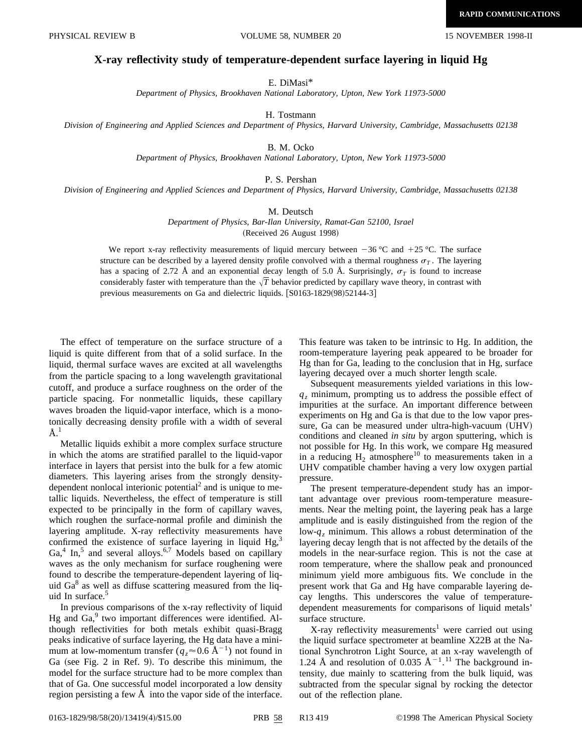PHYSICAL REVIEW B VOLUME 58, NUMBER 20 15 NOVEMBER 1998-II

## **X-ray reflectivity study of temperature-dependent surface layering in liquid Hg**

E. DiMasi\*

*Department of Physics, Brookhaven National Laboratory, Upton, New York 11973-5000*

H. Tostmann

*Division of Engineering and Applied Sciences and Department of Physics, Harvard University, Cambridge, Massachusetts 02138*

B. M. Ocko

*Department of Physics, Brookhaven National Laboratory, Upton, New York 11973-5000*

P. S. Pershan

*Division of Engineering and Applied Sciences and Department of Physics, Harvard University, Cambridge, Massachusetts 02138*

M. Deutsch

*Department of Physics, Bar-Ilan University, Ramat-Gan 52100, Israel* (Received 26 August 1998)

We report x-ray reflectivity measurements of liquid mercury between  $-36$  °C and  $+25$  °C. The surface structure can be described by a layered density profile convolved with a thermal roughness  $\sigma_T$ . The layering has a spacing of 2.72 Å and an exponential decay length of 5.0 Å. Surprisingly,  $\sigma_T$  is found to increase considerably faster with temperature than the  $\sqrt{T}$  behavior predicted by capillary wave theory, in contrast with previous measurements on Ga and dielectric liquids. [S0163-1829(98)52144-3]

The effect of temperature on the surface structure of a liquid is quite different from that of a solid surface. In the liquid, thermal surface waves are excited at all wavelengths from the particle spacing to a long wavelength gravitational cutoff, and produce a surface roughness on the order of the particle spacing. For nonmetallic liquids, these capillary waves broaden the liquid-vapor interface, which is a monotonically decreasing density profile with a width of several  $\AA$ <sup>1</sup>

Metallic liquids exhibit a more complex surface structure in which the atoms are stratified parallel to the liquid-vapor interface in layers that persist into the bulk for a few atomic diameters. This layering arises from the strongly densitydependent nonlocal interionic potential<sup>2</sup> and is unique to metallic liquids. Nevertheless, the effect of temperature is still expected to be principally in the form of capillary waves, which roughen the surface-normal profile and diminish the layering amplitude. X-ray reflectivity measurements have confirmed the existence of surface layering in liquid  $Hg$ ,<sup>3</sup>  $Ga<sup>4</sup>$  In,<sup>5</sup> and several alloys.<sup>6,7</sup> Models based on capillary waves as the only mechanism for surface roughening were found to describe the temperature-dependent layering of liquid  $Ga<sup>8</sup>$  as well as diffuse scattering measured from the liquid In surface.<sup>5</sup>

In previous comparisons of the x-ray reflectivity of liquid  $Hg$  and  $Ga$ , two important differences were identified. Although reflectivities for both metals exhibit quasi-Bragg peaks indicative of surface layering, the Hg data have a minimum at low-momentum transfer ( $q_z \approx 0.6 \text{ Å}^{-1}$ ) not found in Ga (see Fig. 2 in Ref. 9). To describe this minimum, the model for the surface structure had to be more complex than that of Ga. One successful model incorporated a low density region persisting a few Å into the vapor side of the interface.

This feature was taken to be intrinsic to Hg. In addition, the room-temperature layering peak appeared to be broader for Hg than for Ga, leading to the conclusion that in Hg, surface layering decayed over a much shorter length scale.

Subsequent measurements yielded variations in this low*qz* minimum, prompting us to address the possible effect of impurities at the surface. An important difference between experiments on Hg and Ga is that due to the low vapor pressure, Ga can be measured under ultra-high-vacuum  $(UHV)$ conditions and cleaned *in situ* by argon sputtering, which is not possible for Hg. In this work, we compare Hg measured in a reducing  $H_2$  atmosphere<sup>10</sup> to measurements taken in a UHV compatible chamber having a very low oxygen partial pressure.

The present temperature-dependent study has an important advantage over previous room-temperature measurements. Near the melting point, the layering peak has a large amplitude and is easily distinguished from the region of the low-*qz* minimum. This allows a robust determination of the layering decay length that is not affected by the details of the models in the near-surface region. This is not the case at room temperature, where the shallow peak and pronounced minimum yield more ambiguous fits. We conclude in the present work that Ga and Hg have comparable layering decay lengths. This underscores the value of temperaturedependent measurements for comparisons of liquid metals' surface structure.

X-ray reflectivity measurements<sup>1</sup> were carried out using the liquid surface spectrometer at beamline X22B at the National Synchrotron Light Source, at an x-ray wavelength of 1.24 Å and resolution of 0.035 Å<sup> $-1$ </sup>.<sup>11</sup> The background intensity, due mainly to scattering from the bulk liquid, was subtracted from the specular signal by rocking the detector out of the reflection plane.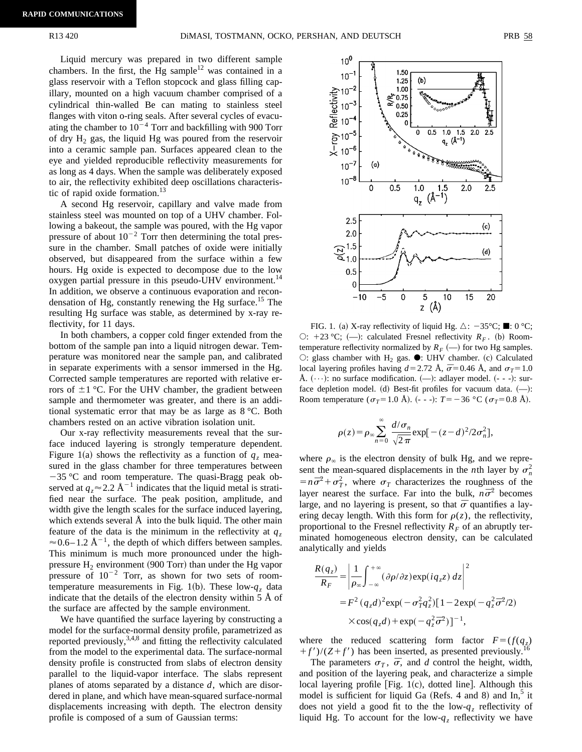Liquid mercury was prepared in two different sample chambers. In the first, the Hg sample<sup>12</sup> was contained in a glass reservoir with a Teflon stopcock and glass filling capillary, mounted on a high vacuum chamber comprised of a cylindrical thin-walled Be can mating to stainless steel flanges with viton o-ring seals. After several cycles of evacuating the chamber to  $10^{-4}$  Torr and backfilling with 900 Torr of dry  $H_2$  gas, the liquid Hg was poured from the reservoir into a ceramic sample pan. Surfaces appeared clean to the eye and yielded reproducible reflectivity measurements for as long as 4 days. When the sample was deliberately exposed to air, the reflectivity exhibited deep oscillations characteristic of rapid oxide formation.<sup>13</sup>

A second Hg reservoir, capillary and valve made from stainless steel was mounted on top of a UHV chamber. Following a bakeout, the sample was poured, with the Hg vapor pressure of about  $10^{-2}$  Torr then determining the total pressure in the chamber. Small patches of oxide were initially observed, but disappeared from the surface within a few hours. Hg oxide is expected to decompose due to the low oxygen partial pressure in this pseudo-UHV environment.<sup>14</sup> In addition, we observe a continuous evaporation and recondensation of Hg, constantly renewing the Hg surface.<sup>15</sup> The resulting Hg surface was stable, as determined by x-ray reflectivity, for 11 days.

In both chambers, a copper cold finger extended from the bottom of the sample pan into a liquid nitrogen dewar. Temperature was monitored near the sample pan, and calibrated in separate experiments with a sensor immersed in the Hg. Corrected sample temperatures are reported with relative errors of  $\pm 1$  °C. For the UHV chamber, the gradient between sample and thermometer was greater, and there is an additional systematic error that may be as large as 8 °C. Both chambers rested on an active vibration isolation unit.

Our x-ray reflectivity measurements reveal that the surface induced layering is strongly temperature dependent. Figure 1(a) shows the reflectivity as a function of  $q<sub>z</sub>$  measured in the glass chamber for three temperatures between  $-35$  °C and room temperature. The quasi-Bragg peak observed at  $q_z \approx 2.2 \text{ Å}^{-1}$  indicates that the liquid metal is stratified near the surface. The peak position, amplitude, and width give the length scales for the surface induced layering, which extends several  $\AA$  into the bulk liquid. The other main feature of the data is the minimum in the reflectivity at  $q<sub>z</sub>$  $\approx$  0.6–1.2 Å<sup>-1</sup>, the depth of which differs between samples. This minimum is much more pronounced under the highpressure  $H_2$  environment (900 Torr) than under the Hg vapor pressure of  $10^{-2}$  Torr, as shown for two sets of roomtemperature measurements in Fig. 1(b). These low- $q_z$  data indicate that the details of the electron density within 5 Å of the surface are affected by the sample environment.

We have quantified the surface layering by constructing a model for the surface-normal density profile, parametrized as reported previously,  $3,4,8$  and fitting the reflectivity calculated from the model to the experimental data. The surface-normal density profile is constructed from slabs of electron density parallel to the liquid-vapor interface. The slabs represent planes of atoms separated by a distance *d*, which are disordered in plane, and which have mean-squared surface-normal displacements increasing with depth. The electron density profile is composed of a sum of Gaussian terms:



FIG. 1. (a) X-ray reflectivity of liquid Hg.  $\triangle$ :  $-35^{\circ}$ C;  $\blacksquare$ : 0 °C;  $\circ$ : +23 °C; (-): calculated Fresnel reflectivity  $R_F$ . (b) Roomtemperature reflectivity normalized by  $R_F$  (-) for two Hg samples.  $\circ$ : glass chamber with H<sub>2</sub> gas.  $\bullet$ : UHV chamber. (c) Calculated local layering profiles having  $d=2.72$  Å,  $\bar{\sigma}=0.46$  Å, and  $\sigma_T=1.0$ Å.  $(\cdots)$ : no surface modification.  $(-)$ : adlayer model.  $(--)$ : surface depletion model. (d) Best-fit profiles for vacuum data.  $(-)$ : Room temperature ( $\sigma_T$ = 1.0 Å). (- - -): *T* = -36 °C ( $\sigma_T$ = 0.8 Å).

$$
\rho(z) = \rho_{\infty} \sum_{n=0}^{\infty} \frac{d/\sigma_n}{\sqrt{2\pi}} \exp[-(z-d)^2/2\sigma_n^2],
$$

where  $\rho_{\infty}$  is the electron density of bulk Hg, and we represent the mean-squared displacements in the *n*th layer by  $\sigma_n^2$  $= n\bar{\sigma}^2 + \sigma_T^2$ , where  $\sigma_T$  characterizes the roughness of the layer nearest the surface. Far into the bulk,  $n\bar{\sigma}^2$  becomes large, and no layering is present, so that  $\bar{\sigma}$  quantifies a layering decay length. With this form for  $\rho(z)$ , the reflectivity, proportional to the Fresnel reflectivity  $R_F$  of an abruptly terminated homogeneous electron density, can be calculated analytically and yields

$$
\frac{R(q_z)}{R_F} = \left| \frac{1}{\rho_{\infty}} \int_{-\infty}^{+\infty} (\partial \rho / \partial z) \exp(i q_z z) dz \right|^2
$$
  
=  $F^2 (q_z d)^2 \exp(-\sigma_T^2 q_z^2) [1 - 2 \exp(-q_z^2 \overline{\sigma}^2 / 2)$   
 $\times \cos(q_z d) + \exp(-q_z^2 \overline{\sigma}^2) ]^{-1},$ 

where the reduced scattering form factor  $F=(f(q_z))$  $f'$ /( $Z+f'$ ) has been inserted, as presented previously.<sup>1</sup>

The parameters  $\sigma_T$ ,  $\bar{\sigma}$ , and *d* control the height, width, and position of the layering peak, and characterize a simple local layering profile [Fig.  $1(c)$ , dotted line]. Although this model is sufficient for liquid Ga (Refs. 4 and 8) and  $In,^5$  it does not yield a good fit to the the low-*qz* reflectivity of liquid Hg. To account for the low- $q<sub>z</sub>$  reflectivity we have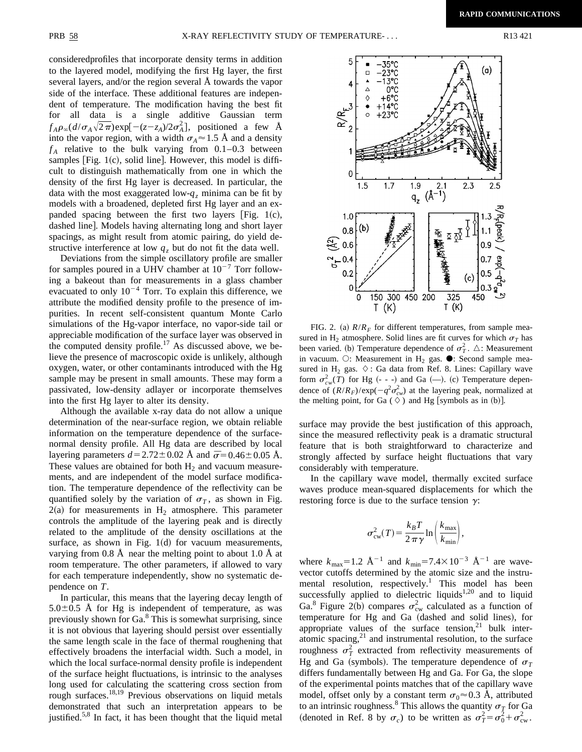consideredprofiles that incorporate density terms in addition to the layered model, modifying the first Hg layer, the first several layers, and/or the region several Å towards the vapor side of the interface. These additional features are independent of temperature. The modification having the best fit for all data is a single additive Gaussian term  $f_A \rho_\infty(d/\sigma_A \sqrt{2\pi}) \exp[-(z-z_A)/2\sigma_A^2]$ , positioned a few Å into the vapor region, with a width  $\sigma_A \approx 1.5$  Å and a density  $f_A$  relative to the bulk varying from 0.1–0.3 between samples  $[Fig. 1(c), solid line]$ . However, this model is difficult to distinguish mathematically from one in which the density of the first Hg layer is decreased. In particular, the data with the most exaggerated low- $q_z$  minima can be fit by models with a broadened, depleted first Hg layer and an expanded spacing between the first two layers [Fig. 1(c), dashed line. Models having alternating long and short layer spacings, as might result from atomic pairing, do yield destructive interference at low  $q<sub>z</sub>$  but do not fit the data well.

Deviations from the simple oscillatory profile are smaller for samples poured in a UHV chamber at  $10^{-7}$  Torr following a bakeout than for measurements in a glass chamber evacuated to only  $10^{-4}$  Torr. To explain this difference, we attribute the modified density profile to the presence of impurities. In recent self-consistent quantum Monte Carlo simulations of the Hg-vapor interface, no vapor-side tail or appreciable modification of the surface layer was observed in the computed density profile.<sup>17</sup> As discussed above, we believe the presence of macroscopic oxide is unlikely, although oxygen, water, or other contaminants introduced with the Hg sample may be present in small amounts. These may form a passivated, low-density adlayer or incorporate themselves into the first Hg layer to alter its density.

Although the available x-ray data do not allow a unique determination of the near-surface region, we obtain reliable information on the temperature dependence of the surfacenormal density profile. All Hg data are described by local layering parameters  $d=2.72\pm0.02$  Å and  $\bar{\sigma}=0.46\pm0.05$  Å. These values are obtained for both  $H_2$  and vacuum measurements, and are independent of the model surface modification. The temperature dependence of the reflectivity can be quantified solely by the variation of  $\sigma_T$ , as shown in Fig.  $2(a)$  for measurements in H<sub>2</sub> atmosphere. This parameter controls the amplitude of the layering peak and is directly related to the amplitude of the density oscillations at the surface, as shown in Fig.  $1(d)$  for vacuum measurements, varying from 0.8 Å near the melting point to about 1.0 Å at room temperature. The other parameters, if allowed to vary for each temperature independently, show no systematic dependence on *T*.

In particular, this means that the layering decay length of  $5.0\pm0.5$  Å for Hg is independent of temperature, as was previously shown for Ga.<sup>8</sup> This is somewhat surprising, since it is not obvious that layering should persist over essentially the same length scale in the face of thermal roughening that effectively broadens the interfacial width. Such a model, in which the local surface-normal density profile is independent of the surface height fluctuations, is intrinsic to the analyses long used for calculating the scattering cross section from rough surfaces.18,19 Previous observations on liquid metals demonstrated that such an interpretation appears to be justified.<sup>5,8</sup> In fact, it has been thought that the liquid metal



FIG. 2. (a)  $R/R_F$  for different temperatures, from sample measured in H<sub>2</sub> atmosphere. Solid lines are fit curves for which  $\sigma_T$  has been varied. (b) Temperature dependence of  $\sigma_T^2$ .  $\triangle$ : Measurement in vacuum.  $\circ$ : Measurement in H<sub>2</sub> gas.  $\bullet$ : Second sample measured in H<sub>2</sub> gas.  $\diamond$ : Ga data from Ref. 8. Lines: Capillary wave form  $\sigma_{cw}^2(T)$  for Hg  $(-,-)$  and Ga  $(-)$ . (c) Temperature dependence of  $(R/R_F)/\exp(-q^2\sigma_{cw}^2)$  at the layering peak, normalized at the melting point, for Ga ( $\Diamond$ ) and Hg [symbols as in (b)].

surface may provide the best justification of this approach, since the measured reflectivity peak is a dramatic structural feature that is both straightforward to characterize and strongly affected by surface height fluctuations that vary considerably with temperature.

In the capillary wave model, thermally excited surface waves produce mean-squared displacements for which the restoring force is due to the surface tension  $\gamma$ :

$$
\sigma_{\text{cw}}^2(T) = \frac{k_B T}{2 \pi \gamma} \ln \left( \frac{k_{\text{max}}}{k_{\text{min}}} \right),\,
$$

where  $k_{\text{max}}=1.2 \text{ Å}^{-1}$  and  $k_{\text{min}}=7.4\times10^{-3} \text{ Å}^{-1}$  are wavevector cutoffs determined by the atomic size and the instrumental resolution, respectively.<sup>1</sup> This model has been successfully applied to dielectric liquids $1,20$  and to liquid Ga.<sup>8</sup> Figure 2(b) compares  $\sigma_{\text{cw}}^2$  calculated as a function of temperature for Hg and Ga (dashed and solid lines), for appropriate values of the surface tension, $21$  bulk interatomic spacing, $2<sup>1</sup>$  and instrumental resolution, to the surface roughness  $\sigma_T^2$  extracted from reflectivity measurements of Hg and Ga (symbols). The temperature dependence of  $\sigma_T$ differs fundamentally between Hg and Ga. For Ga, the slope of the experimental points matches that of the capillary wave model, offset only by a constant term  $\sigma_0 \approx 0.3$  Å, attributed to an intrinsic roughness.<sup>8</sup> This allows the quantity  $\sigma_T$  for Ga (denoted in Ref. 8 by  $\sigma_c$ ) to be written as  $\sigma_T^2 = \sigma_0^2 + \sigma_{\rm cw}^2$ .